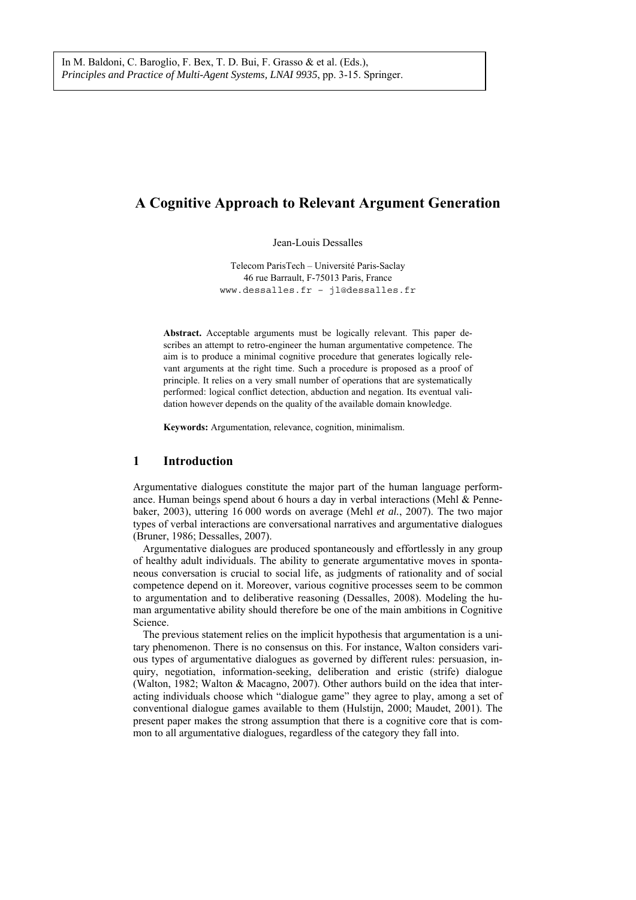# **A Cognitive Approach to Relevant Argument Generation**

Jean-Louis Dessalles

Telecom ParisTech – Université Paris-Saclay 46 rue Barrault, F-75013 Paris, France www.dessalles.fr – jl@dessalles.fr

**Abstract.** Acceptable arguments must be logically relevant. This paper describes an attempt to retro-engineer the human argumentative competence. The aim is to produce a minimal cognitive procedure that generates logically relevant arguments at the right time. Such a procedure is proposed as a proof of principle. It relies on a very small number of operations that are systematically performed: logical conflict detection, abduction and negation. Its eventual validation however depends on the quality of the available domain knowledge.

**Keywords:** Argumentation, relevance, cognition, minimalism.

### **1 Introduction**

Argumentative dialogues constitute the major part of the human language performance. Human beings spend about 6 hours a day in verbal interactions (Mehl & Pennebaker, 2003), uttering 16 000 words on average (Mehl *et al.*, 2007). The two major types of verbal interactions are conversational narratives and argumentative dialogues (Bruner, 1986; Dessalles, 2007).

Argumentative dialogues are produced spontaneously and effortlessly in any group of healthy adult individuals. The ability to generate argumentative moves in spontaneous conversation is crucial to social life, as judgments of rationality and of social competence depend on it. Moreover, various cognitive processes seem to be common to argumentation and to deliberative reasoning (Dessalles, 2008). Modeling the human argumentative ability should therefore be one of the main ambitions in Cognitive Science.

The previous statement relies on the implicit hypothesis that argumentation is a unitary phenomenon. There is no consensus on this. For instance, Walton considers various types of argumentative dialogues as governed by different rules: persuasion, inquiry, negotiation, information-seeking, deliberation and eristic (strife) dialogue (Walton, 1982; Walton & Macagno, 2007). Other authors build on the idea that interacting individuals choose which "dialogue game" they agree to play, among a set of conventional dialogue games available to them (Hulstijn, 2000; Maudet, 2001). The present paper makes the strong assumption that there is a cognitive core that is common to all argumentative dialogues, regardless of the category they fall into.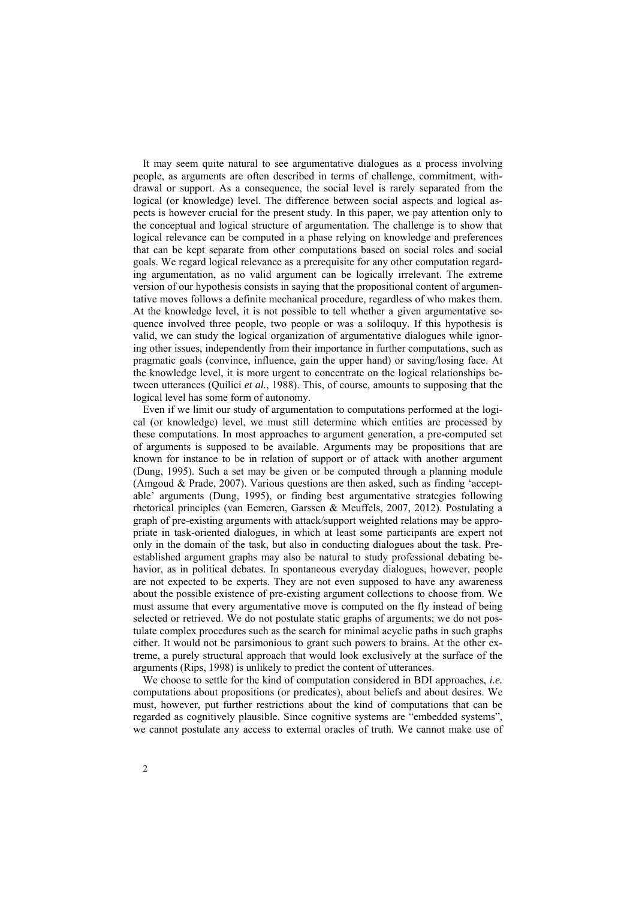It may seem quite natural to see argumentative dialogues as a process involving people, as arguments are often described in terms of challenge, commitment, withdrawal or support. As a consequence, the social level is rarely separated from the logical (or knowledge) level. The difference between social aspects and logical aspects is however crucial for the present study. In this paper, we pay attention only to the conceptual and logical structure of argumentation. The challenge is to show that logical relevance can be computed in a phase relying on knowledge and preferences that can be kept separate from other computations based on social roles and social goals. We regard logical relevance as a prerequisite for any other computation regarding argumentation, as no valid argument can be logically irrelevant. The extreme version of our hypothesis consists in saying that the propositional content of argumentative moves follows a definite mechanical procedure, regardless of who makes them. At the knowledge level, it is not possible to tell whether a given argumentative sequence involved three people, two people or was a soliloquy. If this hypothesis is valid, we can study the logical organization of argumentative dialogues while ignoring other issues, independently from their importance in further computations, such as pragmatic goals (convince, influence, gain the upper hand) or saving/losing face. At the knowledge level, it is more urgent to concentrate on the logical relationships between utterances (Quilici *et al.*, 1988). This, of course, amounts to supposing that the logical level has some form of autonomy.

Even if we limit our study of argumentation to computations performed at the logical (or knowledge) level, we must still determine which entities are processed by these computations. In most approaches to argument generation, a pre-computed set of arguments is supposed to be available. Arguments may be propositions that are known for instance to be in relation of support or of attack with another argument (Dung, 1995). Such a set may be given or be computed through a planning module (Amgoud & Prade, 2007). Various questions are then asked, such as finding 'acceptable' arguments (Dung, 1995), or finding best argumentative strategies following rhetorical principles (van Eemeren, Garssen & Meuffels, 2007, 2012). Postulating a graph of pre-existing arguments with attack/support weighted relations may be appropriate in task-oriented dialogues, in which at least some participants are expert not only in the domain of the task, but also in conducting dialogues about the task. Preestablished argument graphs may also be natural to study professional debating behavior, as in political debates. In spontaneous everyday dialogues, however, people are not expected to be experts. They are not even supposed to have any awareness about the possible existence of pre-existing argument collections to choose from. We must assume that every argumentative move is computed on the fly instead of being selected or retrieved. We do not postulate static graphs of arguments; we do not postulate complex procedures such as the search for minimal acyclic paths in such graphs either. It would not be parsimonious to grant such powers to brains. At the other extreme, a purely structural approach that would look exclusively at the surface of the arguments (Rips, 1998) is unlikely to predict the content of utterances.

We choose to settle for the kind of computation considered in BDI approaches, *i.e.*  computations about propositions (or predicates), about beliefs and about desires. We must, however, put further restrictions about the kind of computations that can be regarded as cognitively plausible. Since cognitive systems are "embedded systems", we cannot postulate any access to external oracles of truth. We cannot make use of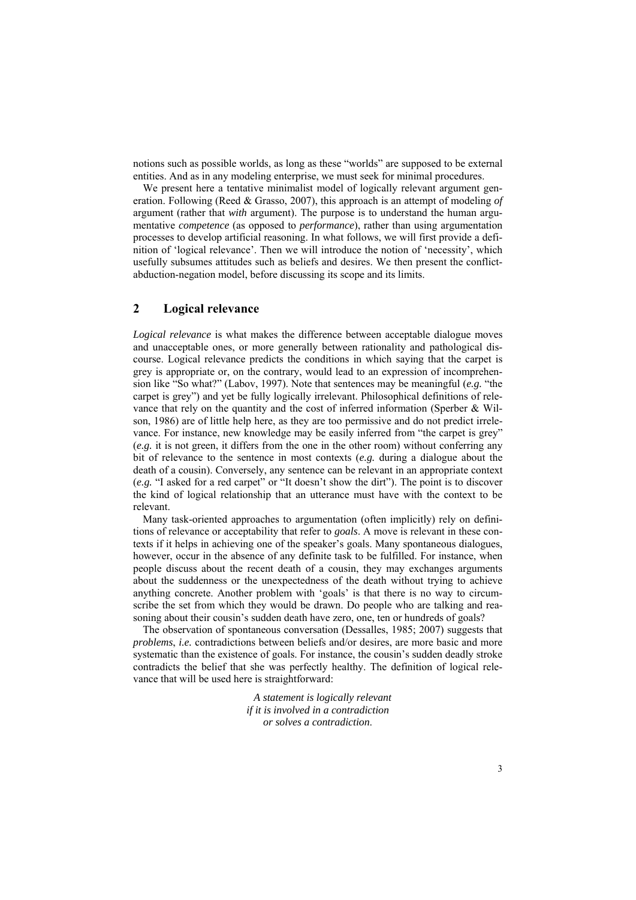notions such as possible worlds, as long as these "worlds" are supposed to be external entities. And as in any modeling enterprise, we must seek for minimal procedures.

We present here a tentative minimalist model of logically relevant argument generation. Following (Reed & Grasso, 2007), this approach is an attempt of modeling *of*  argument (rather that *with* argument). The purpose is to understand the human argumentative *competence* (as opposed to *performance*), rather than using argumentation processes to develop artificial reasoning. In what follows, we will first provide a definition of 'logical relevance'. Then we will introduce the notion of 'necessity', which usefully subsumes attitudes such as beliefs and desires. We then present the conflictabduction-negation model, before discussing its scope and its limits.

## **2 Logical relevance**

*Logical relevance* is what makes the difference between acceptable dialogue moves and unacceptable ones, or more generally between rationality and pathological discourse. Logical relevance predicts the conditions in which saying that the carpet is grey is appropriate or, on the contrary, would lead to an expression of incomprehension like "So what?" (Labov, 1997). Note that sentences may be meaningful (*e.g.* "the carpet is grey") and yet be fully logically irrelevant. Philosophical definitions of relevance that rely on the quantity and the cost of inferred information (Sperber & Wilson, 1986) are of little help here, as they are too permissive and do not predict irrelevance. For instance, new knowledge may be easily inferred from "the carpet is grey" (*e.g.* it is not green, it differs from the one in the other room) without conferring any bit of relevance to the sentence in most contexts (*e.g.* during a dialogue about the death of a cousin). Conversely, any sentence can be relevant in an appropriate context (*e.g.* "I asked for a red carpet" or "It doesn't show the dirt"). The point is to discover the kind of logical relationship that an utterance must have with the context to be relevant.

Many task-oriented approaches to argumentation (often implicitly) rely on definitions of relevance or acceptability that refer to *goals*. A move is relevant in these contexts if it helps in achieving one of the speaker's goals. Many spontaneous dialogues, however, occur in the absence of any definite task to be fulfilled. For instance, when people discuss about the recent death of a cousin, they may exchanges arguments about the suddenness or the unexpectedness of the death without trying to achieve anything concrete. Another problem with 'goals' is that there is no way to circumscribe the set from which they would be drawn. Do people who are talking and reasoning about their cousin's sudden death have zero, one, ten or hundreds of goals?

The observation of spontaneous conversation (Dessalles, 1985; 2007) suggests that *problems*, *i.e.* contradictions between beliefs and/or desires, are more basic and more systematic than the existence of goals. For instance, the cousin's sudden deadly stroke contradicts the belief that she was perfectly healthy. The definition of logical relevance that will be used here is straightforward:

> *A statement is logically relevant if it is involved in a contradiction or solves a contradiction*.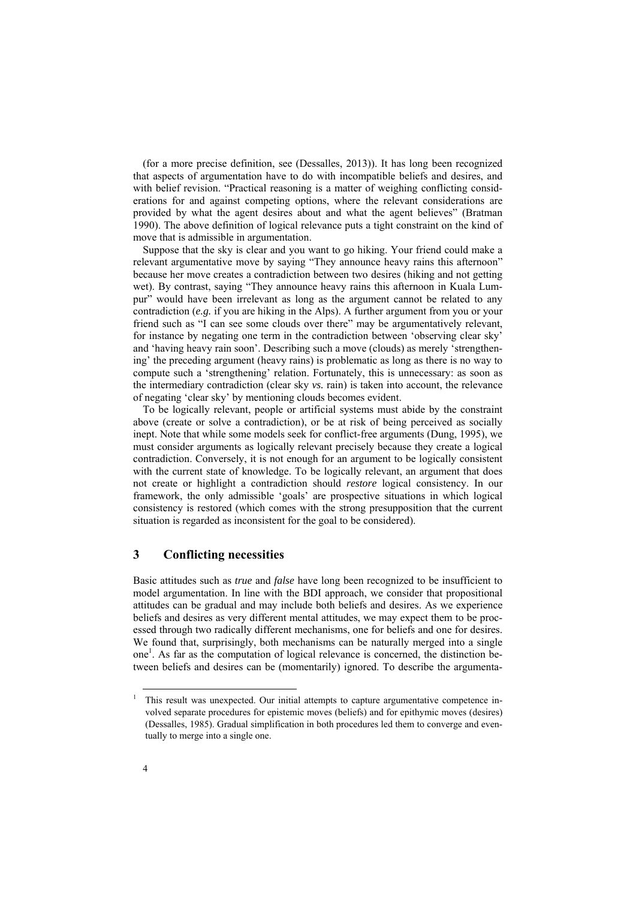(for a more precise definition, see (Dessalles, 2013)). It has long been recognized that aspects of argumentation have to do with incompatible beliefs and desires, and with belief revision. "Practical reasoning is a matter of weighing conflicting considerations for and against competing options, where the relevant considerations are provided by what the agent desires about and what the agent believes" (Bratman 1990). The above definition of logical relevance puts a tight constraint on the kind of move that is admissible in argumentation.

Suppose that the sky is clear and you want to go hiking. Your friend could make a relevant argumentative move by saying "They announce heavy rains this afternoon" because her move creates a contradiction between two desires (hiking and not getting wet). By contrast, saying "They announce heavy rains this afternoon in Kuala Lumpur" would have been irrelevant as long as the argument cannot be related to any contradiction (*e.g.* if you are hiking in the Alps). A further argument from you or your friend such as "I can see some clouds over there" may be argumentatively relevant, for instance by negating one term in the contradiction between 'observing clear sky' and 'having heavy rain soon'. Describing such a move (clouds) as merely 'strengthening' the preceding argument (heavy rains) is problematic as long as there is no way to compute such a 'strengthening' relation. Fortunately, this is unnecessary: as soon as the intermediary contradiction (clear sky *vs.* rain) is taken into account, the relevance of negating 'clear sky' by mentioning clouds becomes evident.

To be logically relevant, people or artificial systems must abide by the constraint above (create or solve a contradiction), or be at risk of being perceived as socially inept. Note that while some models seek for conflict-free arguments (Dung, 1995), we must consider arguments as logically relevant precisely because they create a logical contradiction. Conversely, it is not enough for an argument to be logically consistent with the current state of knowledge. To be logically relevant, an argument that does not create or highlight a contradiction should *restore* logical consistency. In our framework, the only admissible 'goals' are prospective situations in which logical consistency is restored (which comes with the strong presupposition that the current situation is regarded as inconsistent for the goal to be considered).

## **3 Conflicting necessities**

Basic attitudes such as *true* and *false* have long been recognized to be insufficient to model argumentation. In line with the BDI approach, we consider that propositional attitudes can be gradual and may include both beliefs and desires. As we experience beliefs and desires as very different mental attitudes, we may expect them to be processed through two radically different mechanisms, one for beliefs and one for desires. We found that, surprisingly, both mechanisms can be naturally merged into a single one<sup>1</sup>. As far as the computation of logical relevance is concerned, the distinction between beliefs and desires can be (momentarily) ignored. To describe the argumenta-

This result was unexpected. Our initial attempts to capture argumentative competence involved separate procedures for epistemic moves (beliefs) and for epithymic moves (desires) (Dessalles, 1985). Gradual simplification in both procedures led them to converge and eventually to merge into a single one.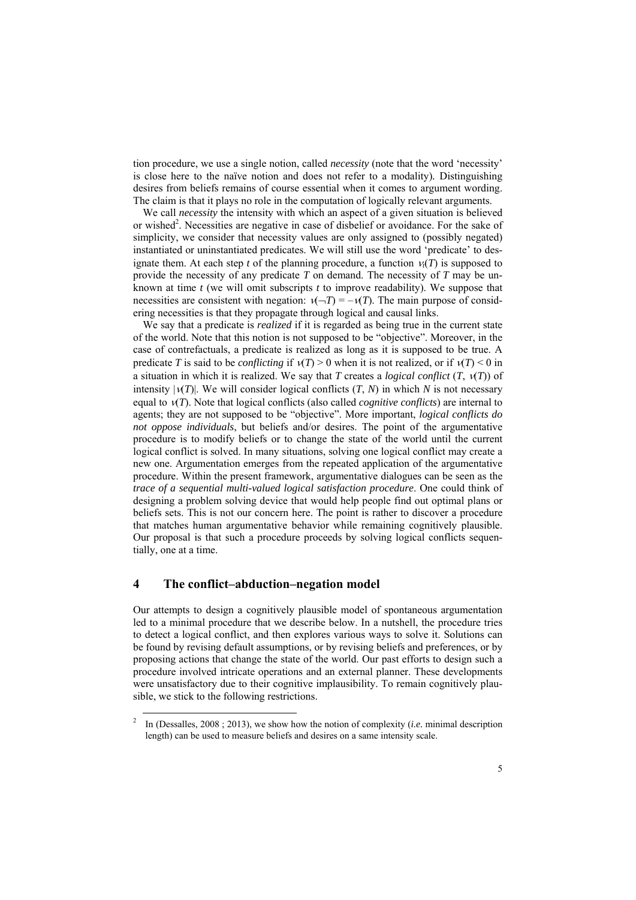tion procedure, we use a single notion, called *necessity* (note that the word 'necessity' is close here to the naïve notion and does not refer to a modality)*.* Distinguishing desires from beliefs remains of course essential when it comes to argument wording. The claim is that it plays no role in the computation of logically relevant arguments.

We call *necessity* the intensity with which an aspect of a given situation is believed or wished<sup>2</sup>. Necessities are negative in case of disbelief or avoidance. For the sake of simplicity, we consider that necessity values are only assigned to (possibly negated) instantiated or uninstantiated predicates. We will still use the word 'predicate' to designate them. At each step  $t$  of the planning procedure, a function  $v_t(T)$  is supposed to provide the necessity of any predicate *T* on demand. The necessity of *T* may be unknown at time *t* (we will omit subscripts *t* to improve readability). We suppose that necessities are consistent with negation:  $\nu(\neg T) = -\nu(T)$ . The main purpose of considering necessities is that they propagate through logical and causal links.

We say that a predicate is *realized* if it is regarded as being true in the current state of the world. Note that this notion is not supposed to be "objective". Moreover, in the case of contrefactuals, a predicate is realized as long as it is supposed to be true. A predicate *T* is said to be *conflicting* if  $v(T) > 0$  when it is not realized, or if  $v(T) < 0$  in a situation in which it is realized. We say that  $T$  creates a *logical conflict*  $(T, \nu(T))$  of intensity  $|\nu(T)|$ . We will consider logical conflicts  $(T, N)$  in which N is not necessary equal to  $(T)$ . Note that logical conflicts (also called *cognitive conflicts*) are internal to agents; they are not supposed to be "objective". More important, *logical conflicts do not oppose individuals*, but beliefs and/or desires. The point of the argumentative procedure is to modify beliefs or to change the state of the world until the current logical conflict is solved. In many situations, solving one logical conflict may create a new one. Argumentation emerges from the repeated application of the argumentative procedure. Within the present framework, argumentative dialogues can be seen as the *trace of a sequential multi-valued logical satisfaction procedure*. One could think of designing a problem solving device that would help people find out optimal plans or beliefs sets. This is not our concern here. The point is rather to discover a procedure that matches human argumentative behavior while remaining cognitively plausible. Our proposal is that such a procedure proceeds by solving logical conflicts sequentially, one at a time.

### **4 The conflict–abduction–negation model**

Our attempts to design a cognitively plausible model of spontaneous argumentation led to a minimal procedure that we describe below. In a nutshell, the procedure tries to detect a logical conflict, and then explores various ways to solve it. Solutions can be found by revising default assumptions, or by revising beliefs and preferences, or by proposing actions that change the state of the world. Our past efforts to design such a procedure involved intricate operations and an external planner. These developments were unsatisfactory due to their cognitive implausibility. To remain cognitively plausible, we stick to the following restrictions.

 <sup>2</sup> In (Dessalles, 2008 ; 2013), we show how the notion of complexity (*i.e.* minimal description length) can be used to measure beliefs and desires on a same intensity scale.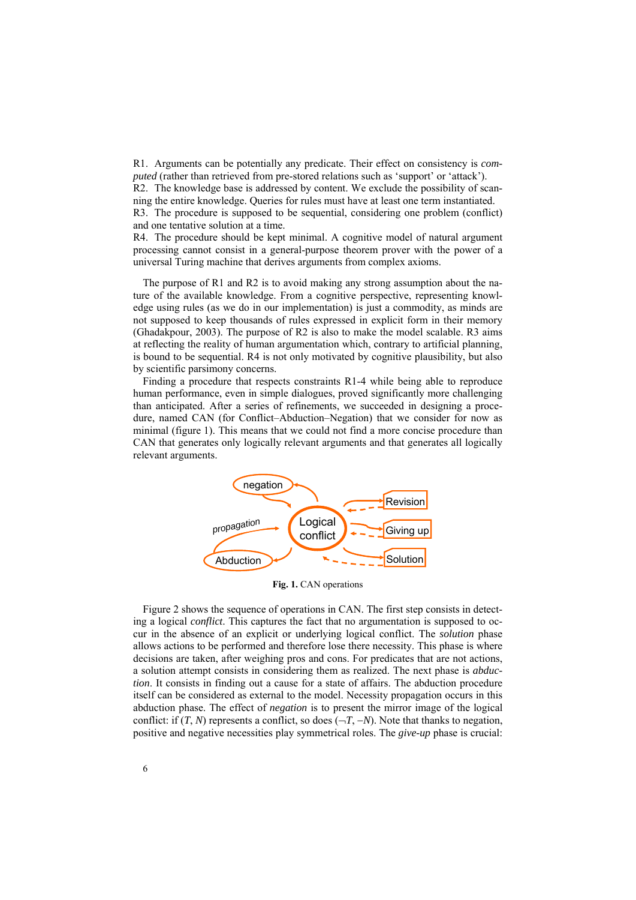R1. Arguments can be potentially any predicate. Their effect on consistency is *computed* (rather than retrieved from pre-stored relations such as 'support' or 'attack'). R2. The knowledge base is addressed by content. We exclude the possibility of scanning the entire knowledge. Queries for rules must have at least one term instantiated. R3. The procedure is supposed to be sequential, considering one problem (conflict) and one tentative solution at a time.

R4. The procedure should be kept minimal. A cognitive model of natural argument processing cannot consist in a general-purpose theorem prover with the power of a universal Turing machine that derives arguments from complex axioms.

The purpose of R1 and R2 is to avoid making any strong assumption about the nature of the available knowledge. From a cognitive perspective, representing knowledge using rules (as we do in our implementation) is just a commodity, as minds are not supposed to keep thousands of rules expressed in explicit form in their memory (Ghadakpour, 2003). The purpose of R2 is also to make the model scalable. R3 aims at reflecting the reality of human argumentation which, contrary to artificial planning, is bound to be sequential. R4 is not only motivated by cognitive plausibility, but also by scientific parsimony concerns.

Finding a procedure that respects constraints R1-4 while being able to reproduce human performance, even in simple dialogues, proved significantly more challenging than anticipated. After a series of refinements, we succeeded in designing a procedure, named CAN (for Conflict–Abduction–Negation) that we consider for now as minimal (figure 1). This means that we could not find a more concise procedure than CAN that generates only logically relevant arguments and that generates all logically relevant arguments.



**Fig. 1.** CAN operations

Figure 2 shows the sequence of operations in CAN. The first step consists in detecting a logical *conflict*. This captures the fact that no argumentation is supposed to occur in the absence of an explicit or underlying logical conflict. The *solution* phase allows actions to be performed and therefore lose there necessity. This phase is where decisions are taken, after weighing pros and cons. For predicates that are not actions, a solution attempt consists in considering them as realized. The next phase is *abduction*. It consists in finding out a cause for a state of affairs. The abduction procedure itself can be considered as external to the model. Necessity propagation occurs in this abduction phase. The effect of *negation* is to present the mirror image of the logical conflict: if  $(T, N)$  represents a conflict, so does  $(-T, -N)$ . Note that thanks to negation, positive and negative necessities play symmetrical roles. The *give-up* phase is crucial: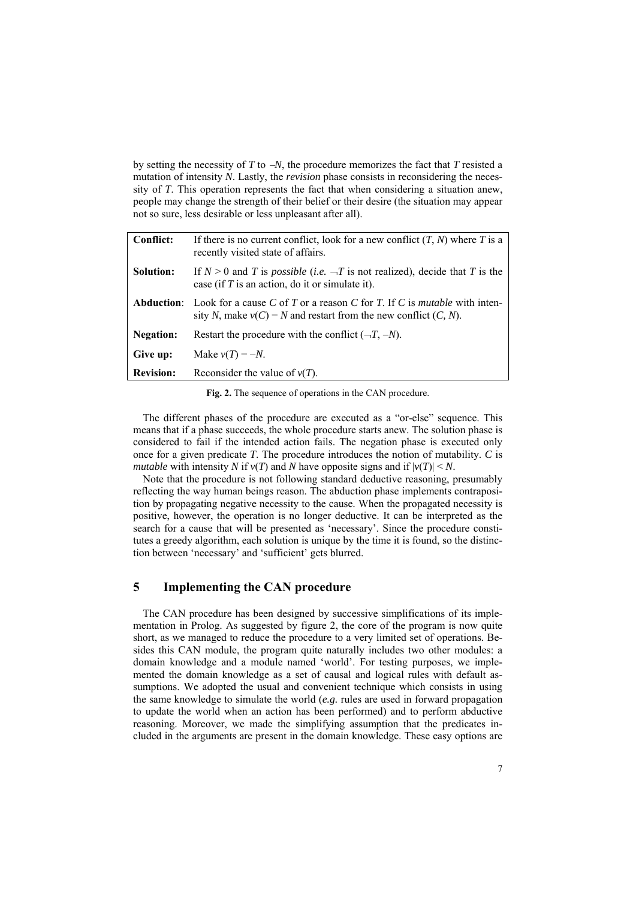by setting the necessity of *T* to  $-N$ , the procedure memorizes the fact that *T* resisted a mutation of intensity *N*. Lastly, the *revision* phase consists in reconsidering the necessity of *T*. This operation represents the fact that when considering a situation anew, people may change the strength of their belief or their desire (the situation may appear not so sure, less desirable or less unpleasant after all).

| <b>Conflict:</b> | If there is no current conflict, look for a new conflict $(T, N)$ where T is a<br>recently visited state of affairs.                                                      |
|------------------|---------------------------------------------------------------------------------------------------------------------------------------------------------------------------|
| <b>Solution:</b> | If $N > 0$ and T is <i>possible (i.e.</i> $\neg T$ is not realized), decide that T is the<br>case (if $T$ is an action, do it or simulate it).                            |
|                  | <b>Abduction:</b> Look for a cause C of T or a reason C for T. If C is <i>mutable</i> with inten-<br>sity N, make $v(C) = N$ and restart from the new conflict $(C, N)$ . |
| <b>Negation:</b> | Restart the procedure with the conflict $(-T, -N)$ .                                                                                                                      |
| Give up:         | Make $v(T) = -N$ .                                                                                                                                                        |
| <b>Revision:</b> | Reconsider the value of $v(T)$ .                                                                                                                                          |

**Fig. 2.** The sequence of operations in the CAN procedure.

The different phases of the procedure are executed as a "or-else" sequence. This means that if a phase succeeds, the whole procedure starts anew. The solution phase is considered to fail if the intended action fails. The negation phase is executed only once for a given predicate *T*. The procedure introduces the notion of mutability. *C* is *mutable* with intensity *N* if  $v(T)$  and *N* have opposite signs and if  $|v(T)| \le N$ .

Note that the procedure is not following standard deductive reasoning, presumably reflecting the way human beings reason. The abduction phase implements contraposition by propagating negative necessity to the cause. When the propagated necessity is positive, however, the operation is no longer deductive. It can be interpreted as the search for a cause that will be presented as 'necessary'. Since the procedure constitutes a greedy algorithm, each solution is unique by the time it is found, so the distinction between 'necessary' and 'sufficient' gets blurred.

## **5 Implementing the CAN procedure**

The CAN procedure has been designed by successive simplifications of its implementation in Prolog. As suggested by figure 2, the core of the program is now quite short, as we managed to reduce the procedure to a very limited set of operations. Besides this CAN module, the program quite naturally includes two other modules: a domain knowledge and a module named 'world'. For testing purposes, we implemented the domain knowledge as a set of causal and logical rules with default assumptions. We adopted the usual and convenient technique which consists in using the same knowledge to simulate the world (*e.g.* rules are used in forward propagation to update the world when an action has been performed) and to perform abductive reasoning. Moreover, we made the simplifying assumption that the predicates included in the arguments are present in the domain knowledge. These easy options are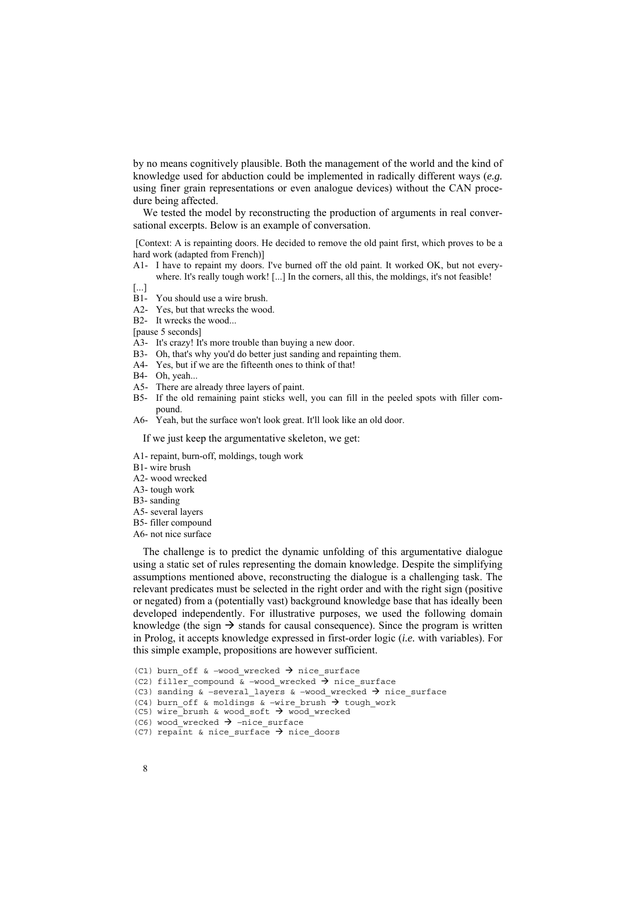by no means cognitively plausible. Both the management of the world and the kind of knowledge used for abduction could be implemented in radically different ways (*e.g.*  using finer grain representations or even analogue devices) without the CAN procedure being affected.

We tested the model by reconstructing the production of arguments in real conversational excerpts. Below is an example of conversation.

 [Context: A is repainting doors. He decided to remove the old paint first, which proves to be a hard work (adapted from French)]

A1- I have to repaint my doors. I've burned off the old paint. It worked OK, but not everywhere. It's really tough work! [...] In the corners, all this, the moldings, it's not feasible!

[...]

- B1- You should use a wire brush.
- A2- Yes, but that wrecks the wood.
- B2- It wrecks the wood...

[pause 5 seconds]

- A3- It's crazy! It's more trouble than buying a new door.
- B3- Oh, that's why you'd do better just sanding and repainting them.
- A4- Yes, but if we are the fifteenth ones to think of that!
- B4- Oh, yeah...
- A5- There are already three layers of paint.
- B5- If the old remaining paint sticks well, you can fill in the peeled spots with filler compound.
- A6- Yeah, but the surface won't look great. It'll look like an old door.

If we just keep the argumentative skeleton, we get:

A1- repaint, burn-off, moldings, tough work

B1- wire brush

- A2- wood wrecked
- A3- tough work
- B3- sanding
- A5- several layers
- B5- filler compound
- A6- not nice surface

The challenge is to predict the dynamic unfolding of this argumentative dialogue using a static set of rules representing the domain knowledge. Despite the simplifying assumptions mentioned above, reconstructing the dialogue is a challenging task. The relevant predicates must be selected in the right order and with the right sign (positive or negated) from a (potentially vast) background knowledge base that has ideally been developed independently. For illustrative purposes, we used the following domain knowledge (the sign  $\rightarrow$  stands for causal consequence). Since the program is written in Prolog, it accepts knowledge expressed in first-order logic (*i.e.* with variables). For this simple example, propositions are however sufficient.

- (C1) burn off & -wood wrecked  $\rightarrow$  nice surface
- (C2) filler compound & -wood wrecked  $\rightarrow$  nice surface
- (C3) sanding & -several\_layers & -wood\_wrecked  $\rightarrow$  nice\_surface
- (C4) burn off & moldings & -wire brush  $\rightarrow$  tough work
- (C5) wire brush & wood soft  $\rightarrow$  wood wrecked
- (C6) wood wrecked  $\rightarrow$  -nice\_surface
- (C7) repaint & nice surface  $\rightarrow$  nice doors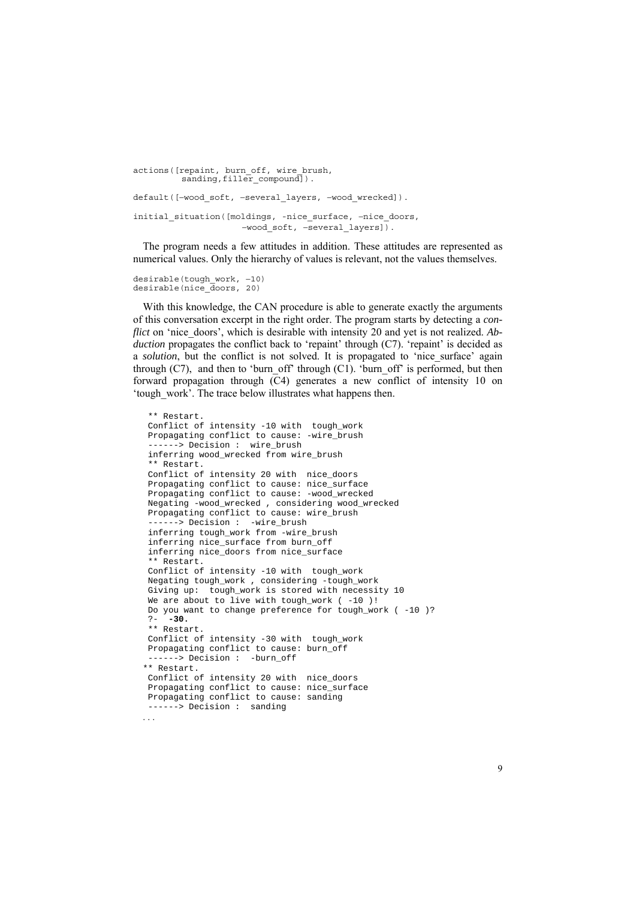```
actions([repaint, burn_off, wire_brush,<br>sanding,filler_compound]).
default([-wood soft, -several layers, -wood wrecked]).
initial situation([moldings, -nice surface, -nice doors,
                        -wood_soft, -several_layers]).
```
The program needs a few attitudes in addition. These attitudes are represented as numerical values. Only the hierarchy of values is relevant, not the values themselves.

desirable(tough work, -10) desirable(nice\_doors, 20)

With this knowledge, the CAN procedure is able to generate exactly the arguments of this conversation excerpt in the right order. The program starts by detecting a *con*flict on 'nice doors', which is desirable with intensity 20 and yet is not realized. *Abduction* propagates the conflict back to 'repaint' through (C7). 'repaint' is decided as a *solution*, but the conflict is not solved. It is propagated to 'nice surface' again through  $(C7)$ , and then to 'burn off' through  $(C1)$ . 'burn off' is performed, but then forward propagation through (C4) generates a new conflict of intensity 10 on 'tough\_work'. The trace below illustrates what happens then.

```
 ** Restart. 
 Conflict of intensity -10 with tough_work 
Propagating conflict to cause: -wire brush
  ------> Decision : wire_brush 
  inferring wood_wrecked from wire_brush 
  ** Restart. 
  Conflict of intensity 20 with nice_doors 
Propagating conflict to cause: nice surface
 Propagating conflict to cause: -wood_wrecked 
 Negating -wood_wrecked , considering wood_wrecked 
 Propagating conflict to cause: wire_brush 
 ------> Decision : -wire_brush
 inferring tough_work from -wire_brush 
  inferring nice_surface from burn_off 
  inferring nice_doors from nice_surface 
  ** Restart. 
 Conflict of intensity -10 with tough_work 
 Negating tough_work , considering -tough_work 
 Giving up: tough_work is stored with necessity 10 
We are about to live with tough_work ( -10 )!
 Do you want to change preference for tough_work ( -10 )? 
 ?- -30.
 ** Restart. 
 Conflict of intensity -30 with tough_work 
 Propagating conflict to cause: burn_off 
  ------> Decision : -burn_off 
** Restart. 
 Conflict of intensity 20 with nice_doors 
Propagating conflict to cause: nice surface
 Propagating conflict to cause: sanding 
 ------> Decision : sanding 
. . .
```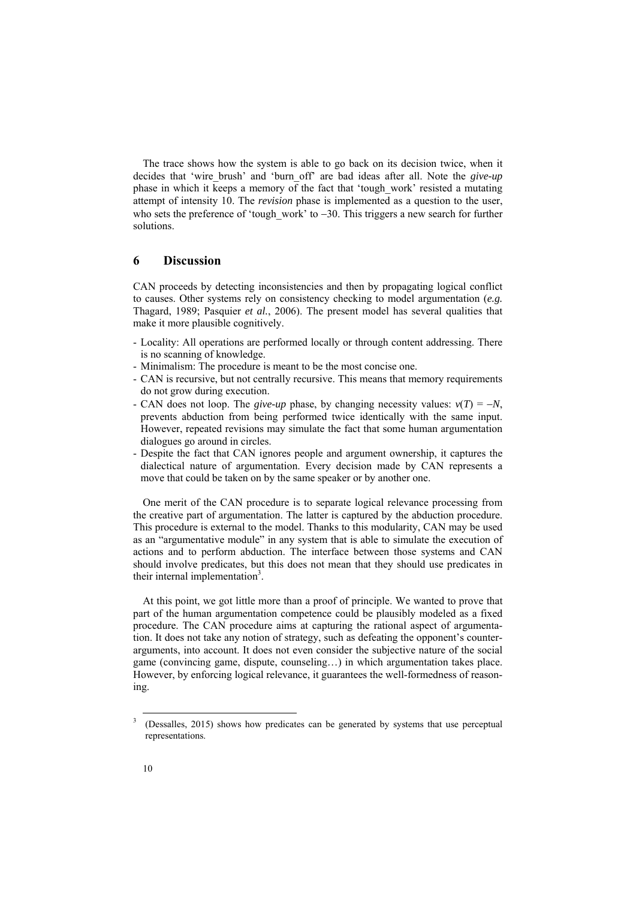The trace shows how the system is able to go back on its decision twice, when it decides that 'wire\_brush' and 'burn\_off' are bad ideas after all. Note the *give-up* phase in which it keeps a memory of the fact that 'tough\_work' resisted a mutating attempt of intensity 10. The *revision* phase is implemented as a question to the user, who sets the preference of 'tough\_work' to  $-30$ . This triggers a new search for further solutions.

## **6 Discussion**

CAN proceeds by detecting inconsistencies and then by propagating logical conflict to causes. Other systems rely on consistency checking to model argumentation (*e.g.* Thagard, 1989; Pasquier *et al.*, 2006). The present model has several qualities that make it more plausible cognitively.

- Locality: All operations are performed locally or through content addressing. There is no scanning of knowledge.
- Minimalism: The procedure is meant to be the most concise one.
- CAN is recursive, but not centrally recursive. This means that memory requirements do not grow during execution.
- CAN does not loop. The *give-up* phase, by changing necessity values:  $v(T) = -N$ , prevents abduction from being performed twice identically with the same input. However, repeated revisions may simulate the fact that some human argumentation dialogues go around in circles.
- Despite the fact that CAN ignores people and argument ownership, it captures the dialectical nature of argumentation. Every decision made by CAN represents a move that could be taken on by the same speaker or by another one.

One merit of the CAN procedure is to separate logical relevance processing from the creative part of argumentation. The latter is captured by the abduction procedure. This procedure is external to the model. Thanks to this modularity, CAN may be used as an "argumentative module" in any system that is able to simulate the execution of actions and to perform abduction. The interface between those systems and CAN should involve predicates, but this does not mean that they should use predicates in their internal implementation $3$ .

At this point, we got little more than a proof of principle. We wanted to prove that part of the human argumentation competence could be plausibly modeled as a fixed procedure. The CAN procedure aims at capturing the rational aspect of argumentation. It does not take any notion of strategy, such as defeating the opponent's counterarguments, into account. It does not even consider the subjective nature of the social game (convincing game, dispute, counseling…) in which argumentation takes place. However, by enforcing logical relevance, it guarantees the well-formedness of reasoning.

 <sup>3</sup> (Dessalles, 2015) shows how predicates can be generated by systems that use perceptual representations.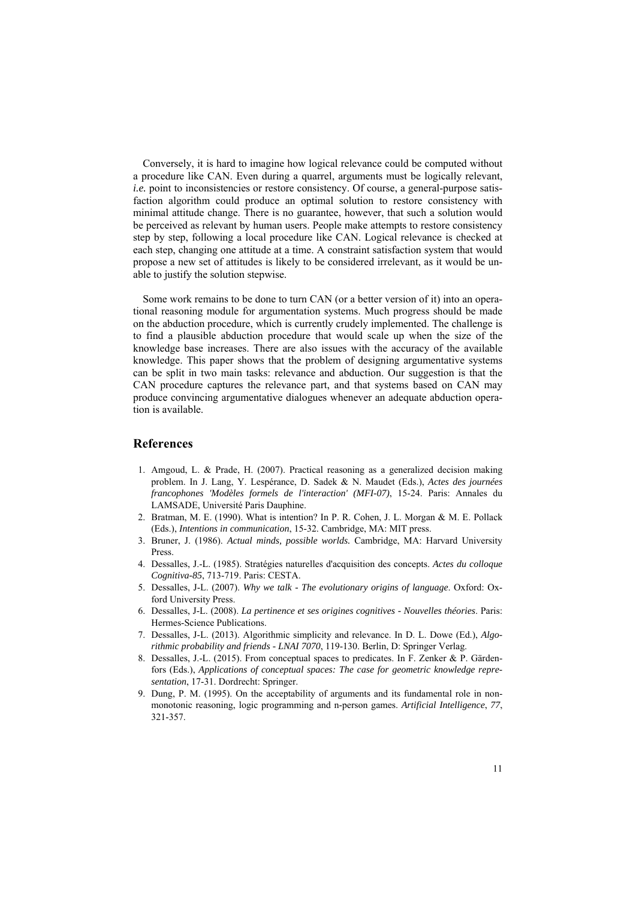Conversely, it is hard to imagine how logical relevance could be computed without a procedure like CAN. Even during a quarrel, arguments must be logically relevant, *i.e.* point to inconsistencies or restore consistency. Of course, a general-purpose satisfaction algorithm could produce an optimal solution to restore consistency with minimal attitude change. There is no guarantee, however, that such a solution would be perceived as relevant by human users. People make attempts to restore consistency step by step, following a local procedure like CAN. Logical relevance is checked at each step, changing one attitude at a time. A constraint satisfaction system that would propose a new set of attitudes is likely to be considered irrelevant, as it would be unable to justify the solution stepwise.

Some work remains to be done to turn CAN (or a better version of it) into an operational reasoning module for argumentation systems. Much progress should be made on the abduction procedure, which is currently crudely implemented. The challenge is to find a plausible abduction procedure that would scale up when the size of the knowledge base increases. There are also issues with the accuracy of the available knowledge. This paper shows that the problem of designing argumentative systems can be split in two main tasks: relevance and abduction. Our suggestion is that the CAN procedure captures the relevance part, and that systems based on CAN may produce convincing argumentative dialogues whenever an adequate abduction operation is available.

#### **References**

- 1. Amgoud, L. & Prade, H. (2007). Practical reasoning as a generalized decision making problem. In J. Lang, Y. Lespérance, D. Sadek & N. Maudet (Eds.), *Actes des journées francophones 'Modèles formels de l'interaction' (MFI-07)*, 15-24. Paris: Annales du LAMSADE, Université Paris Dauphine.
- 2. Bratman, M. E. (1990). What is intention? In P. R. Cohen, J. L. Morgan & M. E. Pollack (Eds.), *Intentions in communication*, 15-32. Cambridge, MA: MIT press.
- 3. Bruner, J. (1986). *Actual minds, possible worlds.* Cambridge, MA: Harvard University Press.
- 4. Dessalles, J.-L. (1985). Stratégies naturelles d'acquisition des concepts. *Actes du colloque Cognitiva-85*, 713-719. Paris: CESTA.
- 5. Dessalles, J-L. (2007). *Why we talk The evolutionary origins of language*. Oxford: Oxford University Press.
- 6. Dessalles, J-L. (2008). *La pertinence et ses origines cognitives Nouvelles théories*. Paris: Hermes-Science Publications.
- 7. Dessalles, J-L. (2013). Algorithmic simplicity and relevance. In D. L. Dowe (Ed.), *Algorithmic probability and friends - LNAI 7070*, 119-130. Berlin, D: Springer Verlag.
- 8. Dessalles, J.-L. (2015). From conceptual spaces to predicates. In F. Zenker & P. Gärdenfors (Eds.), *Applications of conceptual spaces: The case for geometric knowledge representation*, 17-31. Dordrecht: Springer.
- 9. Dung, P. M. (1995). On the acceptability of arguments and its fundamental role in nonmonotonic reasoning, logic programming and n-person games. *Artificial Intelligence*, *77*, 321-357.